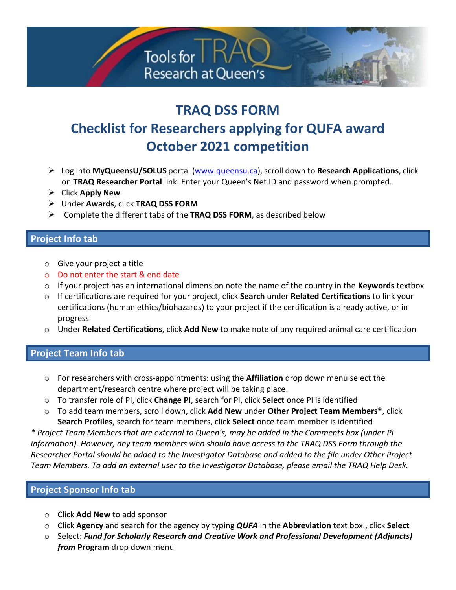

# **TRAQ DSS FORM Checklist for Researchers applying for QUFA award October 2021 competition**

- ➢ Log into **MyQueensU/SOLUS** portal [\(www.queensu.ca\)](http://www.queensu.ca/),scroll down to **Research Applications**, click on **TRAQ Researcher Portal** link. Enter your Queen's Net ID and password when prompted.
- ➢ Click **Apply New**
- ➢ Under **Awards**, click **TRAQ DSS FORM**
- ➢ Complete the different tabs of the **TRAQ DSS FORM**, as described below

### **Project Info tab**

- o Give your project a title
- o Do not enter the start & end date
- o If your project has an international dimension note the name of the country in the **Keywords** textbox
- o If certifications are required for your project, click **Search** under **Related Certifications** to link your certifications (human ethics/biohazards) to your project if the certification is already active, or in progress
- o Under **Related Certifications**, click **Add New** to make note of any required animal care certification

### **Project Team Info tab**

- o For researchers with cross-appointments: using the **Affiliation** drop down menu select the department/research centre where project will be taking place.
- o To transfer role of PI, click **Change PI**, search for PI, click **Select** once PI is identified
- o To add team members, scroll down, click **Add New** under **Other Project Team Members\***, click **Search Profiles**, search for team members, click **Select** once team member is identified

*\* Project Team Members that are external to Queen's, may be added in the Comments box (under PI information). However, any team members who should have access to the TRAQ DSS Form through the Researcher Portal should be added to the Investigator Database and added to the file under Other Project Team Members. To add an external user to the Investigator Database, please email the TRAQ Help Desk.*

## **Project Sponsor Info tab**

- o Click **Add New** to add sponsor
- o Click **Agency** and search for the agency by typing *QUFA* in the **Abbreviation** text box., click **Select**
- o Select: *Fund for Scholarly Research and Creative Work and Professional Development (Adjuncts) from* **Program** drop down menu